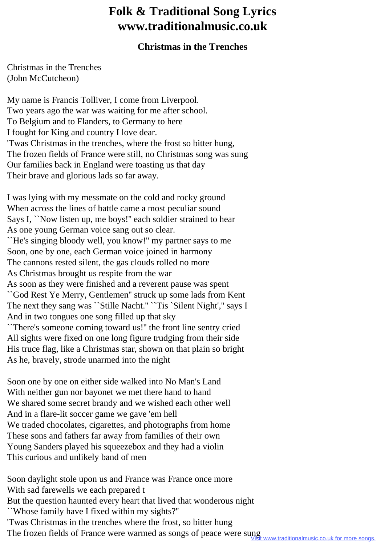## **Folk & Traditional Song Lyrics www.traditionalmusic.co.uk**

## **Christmas in the Trenches**

Christmas in the Trenches (John McCutcheon)

My name is Francis Tolliver, I come from Liverpool. Two years ago the war was waiting for me after school. To Belgium and to Flanders, to Germany to here I fought for King and country I love dear. 'Twas Christmas in the trenches, where the frost so bitter hung, The frozen fields of France were still, no Christmas song was sung Our families back in England were toasting us that day Their brave and glorious lads so far away.

I was lying with my messmate on the cold and rocky ground When across the lines of battle came a most peculiar sound Says I, ``Now listen up, me boys!" each soldier strained to hear As one young German voice sang out so clear. ``He's singing bloody well, you know!'' my partner says to me Soon, one by one, each German voice joined in harmony The cannons rested silent, the gas clouds rolled no more As Christmas brought us respite from the war As soon as they were finished and a reverent pause was spent ``God Rest Ye Merry, Gentlemen'' struck up some lads from Kent The next they sang was "Stille Nacht." "Tis 'Silent Night'," says I And in two tongues one song filled up that sky ``There's someone coming toward us!'' the front line sentry cried All sights were fixed on one long figure trudging from their side His truce flag, like a Christmas star, shown on that plain so bright As he, bravely, strode unarmed into the night

Soon one by one on either side walked into No Man's Land With neither gun nor bayonet we met there hand to hand We shared some secret brandy and we wished each other well And in a flare-lit soccer game we gave 'em hell We traded chocolates, cigarettes, and photographs from home These sons and fathers far away from families of their own Young Sanders played his squeezebox and they had a violin This curious and unlikely band of men

Soon daylight stole upon us and France was France once more With sad farewells we each prepared t But the question haunted every heart that lived that wonderous night ``Whose family have I fixed within my sights?'' 'Twas Christmas in the trenches where the frost, so bitter hung The frozen fields of France were warmed as songs of peace were sung<br>Visit www.traditionalmusic.co.uk for more songs.